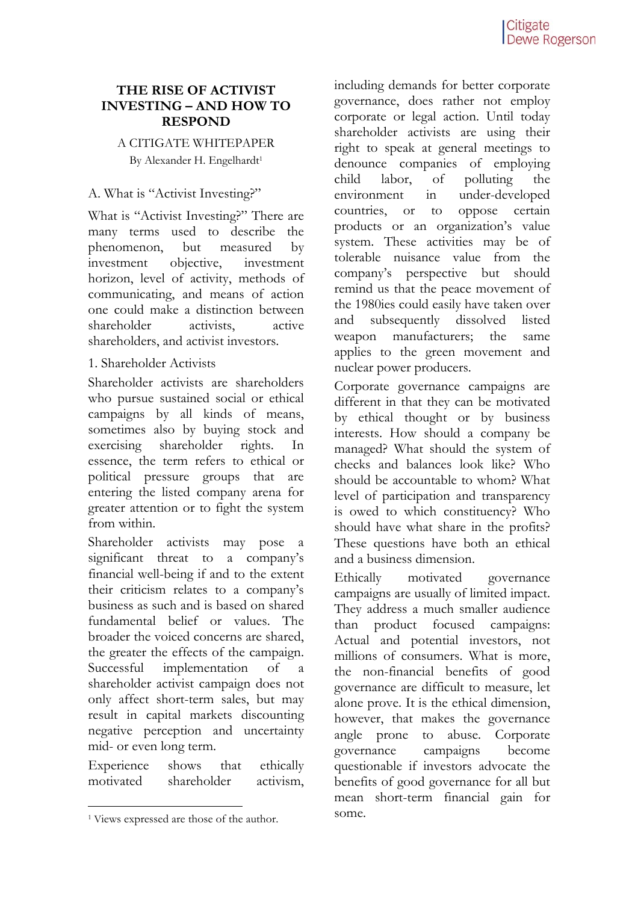#### **THE RISE OF ACTIVIST INVESTING – AND HOW TO RESPOND**

A CITIGATE WHITEPAPER By Alexander H. Engelhardt<sup>1</sup>

#### A. What is "Activist Investing?"

What is "Activist Investing?" There are many terms used to describe the phenomenon, but measured by investment objective, investment horizon, level of activity, methods of communicating, and means of action one could make a distinction between shareholder activists active shareholders, and activist investors.

#### 1. Shareholder Activists

Shareholder activists are shareholders who pursue sustained social or ethical campaigns by all kinds of means, sometimes also by buying stock and exercising shareholder rights. In essence, the term refers to ethical or political pressure groups that are entering the listed company arena for greater attention or to fight the system from within.

Shareholder activists may pose a significant threat to a company's financial well-being if and to the extent their criticism relates to a company's business as such and is based on shared fundamental belief or values. The broader the voiced concerns are shared, the greater the effects of the campaign. Successful implementation of a shareholder activist campaign does not only affect short-term sales, but may result in capital markets discounting negative perception and uncertainty mid- or even long term.

Experience shows that ethically motivated shareholder activism,

 $\overline{a}$ 

including demands for better corporate governance, does rather not employ corporate or legal action. Until today shareholder activists are using their right to speak at general meetings to denounce companies of employing child labor, of polluting the environment in under-developed countries, or to oppose certain products or an organization's value system. These activities may be of tolerable nuisance value from the company's perspective but should remind us that the peace movement of the 1980ies could easily have taken over and subsequently dissolved listed weapon manufacturers; the same applies to the green movement and nuclear power producers.

Corporate governance campaigns are different in that they can be motivated by ethical thought or by business interests. How should a company be managed? What should the system of checks and balances look like? Who should be accountable to whom? What level of participation and transparency is owed to which constituency? Who should have what share in the profits? These questions have both an ethical and a business dimension.

Ethically motivated governance campaigns are usually of limited impact. They address a much smaller audience than product focused campaigns: Actual and potential investors, not millions of consumers. What is more, the non-financial benefits of good governance are difficult to measure, let alone prove. It is the ethical dimension, however, that makes the governance angle prone to abuse. Corporate governance campaigns become questionable if investors advocate the benefits of good governance for all but mean short-term financial gain for some.

<sup>1</sup> Views expressed are those of the author.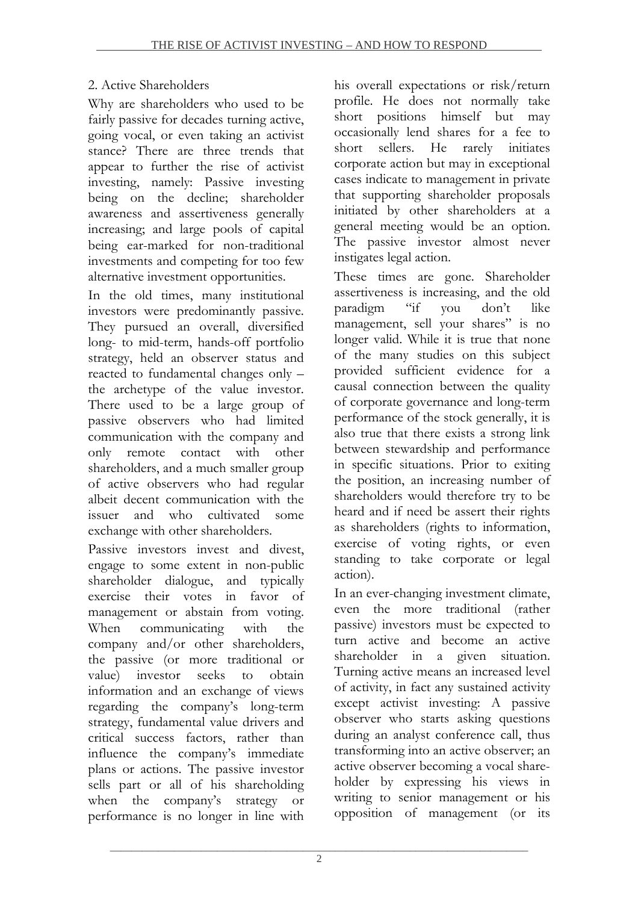## 2. Active Shareholders

Why are shareholders who used to be fairly passive for decades turning active, going vocal, or even taking an activist stance? There are three trends that appear to further the rise of activist investing, namely: Passive investing being on the decline; shareholder awareness and assertiveness generally increasing; and large pools of capital being ear-marked for non-traditional investments and competing for too few alternative investment opportunities.

In the old times, many institutional investors were predominantly passive. They pursued an overall, diversified long- to mid-term, hands-off portfolio strategy, held an observer status and reacted to fundamental changes only – the archetype of the value investor. There used to be a large group of passive observers who had limited communication with the company and only remote contact with other shareholders, and a much smaller group of active observers who had regular albeit decent communication with the issuer and who cultivated some exchange with other shareholders.

Passive investors invest and divest, engage to some extent in non-public shareholder dialogue, and typically exercise their votes in favor of management or abstain from voting. When communicating with the company and/or other shareholders, the passive (or more traditional or value) investor seeks to obtain information and an exchange of views regarding the company's long-term strategy, fundamental value drivers and critical success factors, rather than influence the company's immediate plans or actions. The passive investor sells part or all of his shareholding when the company's strategy or performance is no longer in line with his overall expectations or risk/return profile. He does not normally take short positions himself but may occasionally lend shares for a fee to short sellers. He rarely initiates corporate action but may in exceptional cases indicate to management in private that supporting shareholder proposals initiated by other shareholders at a general meeting would be an option. The passive investor almost never instigates legal action.

These times are gone. Shareholder assertiveness is increasing, and the old paradigm "if you don't like management, sell your shares" is no longer valid. While it is true that none of the many studies on this subject provided sufficient evidence for a causal connection between the quality of corporate governance and long-term performance of the stock generally, it is also true that there exists a strong link between stewardship and performance in specific situations. Prior to exiting the position, an increasing number of shareholders would therefore try to be heard and if need be assert their rights as shareholders (rights to information, exercise of voting rights, or even standing to take corporate or legal action).

In an ever-changing investment climate, even the more traditional (rather passive) investors must be expected to turn active and become an active shareholder in a given situation. Turning active means an increased level of activity, in fact any sustained activity except activist investing: A passive observer who starts asking questions during an analyst conference call, thus transforming into an active observer; an active observer becoming a vocal shareholder by expressing his views in writing to senior management or his opposition of management (or its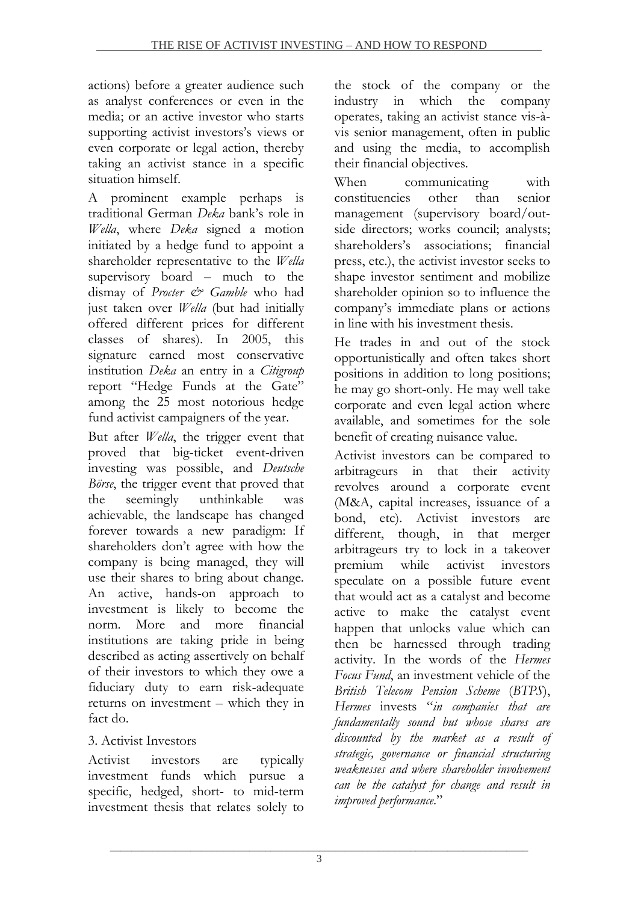actions) before a greater audience such as analyst conferences or even in the media; or an active investor who starts supporting activist investors's views or even corporate or legal action, thereby taking an activist stance in a specific situation himself.

A prominent example perhaps is traditional German *Deka* bank's role in *Wella*, where *Deka* signed a motion initiated by a hedge fund to appoint a shareholder representative to the *Wella*  supervisory board – much to the dismay of *Procter & Gamble* who had just taken over *Wella* (but had initially offered different prices for different classes of shares). In 2005, this signature earned most conservative institution *Deka* an entry in a *Citigroup* report "Hedge Funds at the Gate" among the 25 most notorious hedge fund activist campaigners of the year.

But after *Wella*, the trigger event that proved that big-ticket event-driven investing was possible, and *Deutsche Börse*, the trigger event that proved that the seemingly unthinkable was achievable, the landscape has changed forever towards a new paradigm: If shareholders don't agree with how the company is being managed, they will use their shares to bring about change. An active, hands-on approach to investment is likely to become the norm. More and more financial institutions are taking pride in being described as acting assertively on behalf of their investors to which they owe a fiduciary duty to earn risk-adequate returns on investment – which they in fact do.

## 3. Activist Investors

Activist investors are typically investment funds which pursue a specific, hedged, short- to mid-term investment thesis that relates solely to the stock of the company or the industry in which the company operates, taking an activist stance vis-àvis senior management, often in public and using the media, to accomplish their financial objectives.

When communicating with constituencies other than senior management (supervisory board/outside directors; works council; analysts; shareholders's associations; financial press, etc.), the activist investor seeks to shape investor sentiment and mobilize shareholder opinion so to influence the company's immediate plans or actions in line with his investment thesis.

He trades in and out of the stock opportunistically and often takes short positions in addition to long positions; he may go short-only. He may well take corporate and even legal action where available, and sometimes for the sole benefit of creating nuisance value.

Activist investors can be compared to arbitrageurs in that their activity revolves around a corporate event (M&A, capital increases, issuance of a bond, etc). Activist investors are different, though, in that merger arbitrageurs try to lock in a takeover premium while activist investors speculate on a possible future event that would act as a catalyst and become active to make the catalyst event happen that unlocks value which can then be harnessed through trading activity. In the words of the *Hermes Focus Fund*, an investment vehicle of the *British Telecom Pension Scheme* (*BTPS*), *Hermes* invests "*in companies that are fundamentally sound but whose shares are discounted by the market as a result of strategic, governance or financial structuring weaknesses and where shareholder involvement can be the catalyst for change and result in improved performance*."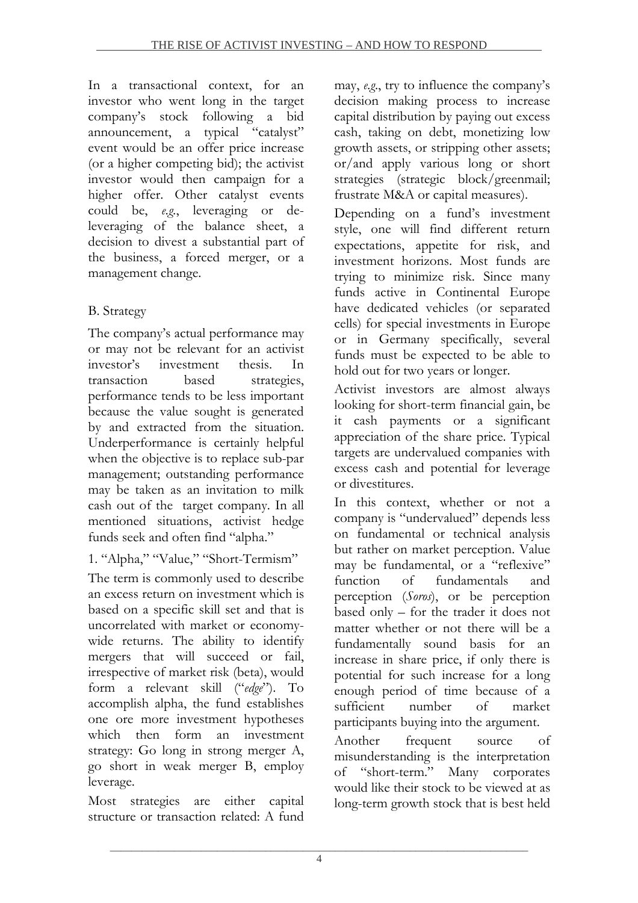In a transactional context, for an investor who went long in the target company's stock following a bid announcement, a typical "catalyst" event would be an offer price increase (or a higher competing bid); the activist investor would then campaign for a higher offer. Other catalyst events could be, *e.g.*, leveraging or deleveraging of the balance sheet, a decision to divest a substantial part of the business, a forced merger, or a management change.

# B. Strategy

The company's actual performance may or may not be relevant for an activist investor's investment thesis. In transaction based strategies, performance tends to be less important because the value sought is generated by and extracted from the situation. Underperformance is certainly helpful when the objective is to replace sub-par management; outstanding performance may be taken as an invitation to milk cash out of the target company. In all mentioned situations, activist hedge funds seek and often find "alpha."

1. "Alpha," "Value," "Short-Termism"

The term is commonly used to describe an excess return on investment which is based on a specific skill set and that is uncorrelated with market or economywide returns. The ability to identify mergers that will succeed or fail, irrespective of market risk (beta), would form a relevant skill ("*edge*"). To accomplish alpha, the fund establishes one ore more investment hypotheses which then form an investment strategy: Go long in strong merger A, go short in weak merger B, employ leverage.

Most strategies are either capital structure or transaction related: A fund may, *e.g*., try to influence the company's decision making process to increase capital distribution by paying out excess cash, taking on debt, monetizing low growth assets, or stripping other assets; or/and apply various long or short strategies (strategic block/greenmail; frustrate M&A or capital measures).

Depending on a fund's investment style, one will find different return expectations, appetite for risk, and investment horizons. Most funds are trying to minimize risk. Since many funds active in Continental Europe have dedicated vehicles (or separated cells) for special investments in Europe or in Germany specifically, several funds must be expected to be able to hold out for two years or longer.

Activist investors are almost always looking for short-term financial gain, be it cash payments or a significant appreciation of the share price. Typical targets are undervalued companies with excess cash and potential for leverage or divestitures.

In this context, whether or not a company is "undervalued" depends less on fundamental or technical analysis but rather on market perception. Value may be fundamental, or a "reflexive" function of fundamentals and perception (*Soros*), or be perception based only – for the trader it does not matter whether or not there will be a fundamentally sound basis for an increase in share price, if only there is potential for such increase for a long enough period of time because of a sufficient number of market participants buying into the argument.

Another frequent source of misunderstanding is the interpretation of "short-term." Many corporates would like their stock to be viewed at as long-term growth stock that is best held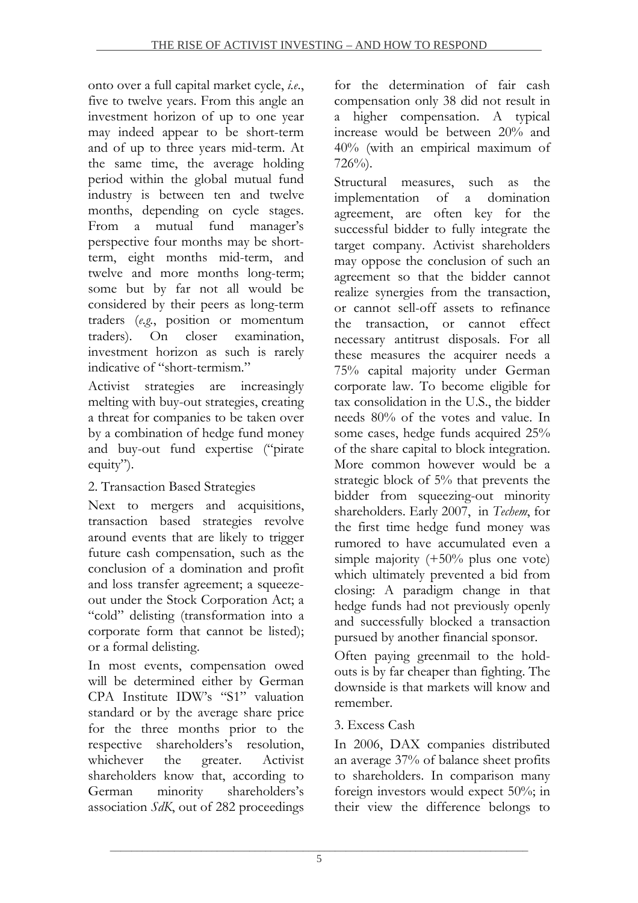onto over a full capital market cycle, *i.e*., five to twelve years. From this angle an investment horizon of up to one year may indeed appear to be short-term and of up to three years mid-term. At the same time, the average holding period within the global mutual fund industry is between ten and twelve months, depending on cycle stages. From a mutual fund manager's perspective four months may be shortterm, eight months mid-term, and twelve and more months long-term; some but by far not all would be considered by their peers as long-term traders (*e.g.*, position or momentum traders). On closer examination, investment horizon as such is rarely indicative of "short-termism."

Activist strategies are increasingly melting with buy-out strategies, creating a threat for companies to be taken over by a combination of hedge fund money and buy-out fund expertise ("pirate equity").

## 2. Transaction Based Strategies

Next to mergers and acquisitions, transaction based strategies revolve around events that are likely to trigger future cash compensation, such as the conclusion of a domination and profit and loss transfer agreement; a squeezeout under the Stock Corporation Act; a "cold" delisting (transformation into a corporate form that cannot be listed); or a formal delisting.

In most events, compensation owed will be determined either by German CPA Institute IDW's "S1" valuation standard or by the average share price for the three months prior to the respective shareholders's resolution, whichever the greater. Activist shareholders know that, according to German minority shareholders's association *SdK*, out of 282 proceedings

for the determination of fair cash compensation only 38 did not result in a higher compensation. A typical increase would be between 20% and 40% (with an empirical maximum of  $726\%$ ).

Structural measures, such as the implementation of a domination implementation of a domination agreement, are often key for the successful bidder to fully integrate the target company. Activist shareholders may oppose the conclusion of such an agreement so that the bidder cannot realize synergies from the transaction, or cannot sell-off assets to refinance the transaction, or cannot effect necessary antitrust disposals. For all these measures the acquirer needs a 75% capital majority under German corporate law. To become eligible for tax consolidation in the U.S., the bidder needs 80% of the votes and value. In some cases, hedge funds acquired 25% of the share capital to block integration. More common however would be a strategic block of 5% that prevents the bidder from squeezing-out minority shareholders. Early 2007, in *Techem*, for the first time hedge fund money was rumored to have accumulated even a simple majority (+50% plus one vote) which ultimately prevented a bid from closing: A paradigm change in that hedge funds had not previously openly and successfully blocked a transaction pursued by another financial sponsor.

Often paying greenmail to the holdouts is by far cheaper than fighting. The downside is that markets will know and remember.

#### 3. Excess Cash

In 2006, DAX companies distributed an average 37% of balance sheet profits to shareholders. In comparison many foreign investors would expect 50%; in their view the difference belongs to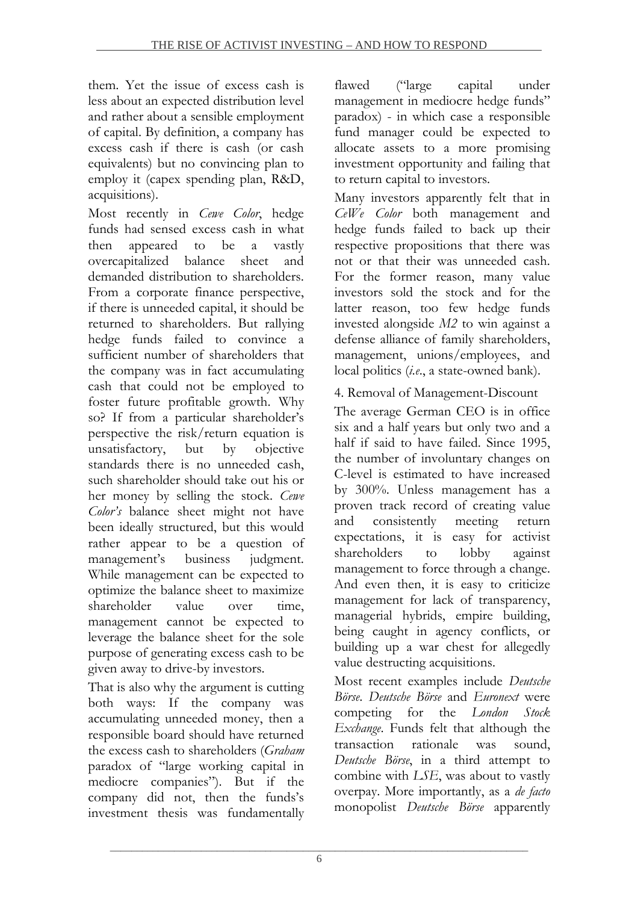them. Yet the issue of excess cash is less about an expected distribution level and rather about a sensible employment of capital. By definition, a company has excess cash if there is cash (or cash equivalents) but no convincing plan to employ it (capex spending plan, R&D, acquisitions).

Most recently in *Cewe Color*, hedge funds had sensed excess cash in what then appeared to be a vastly overcapitalized balance sheet and demanded distribution to shareholders. From a corporate finance perspective, if there is unneeded capital, it should be returned to shareholders. But rallying hedge funds failed to convince a sufficient number of shareholders that the company was in fact accumulating cash that could not be employed to foster future profitable growth. Why so? If from a particular shareholder's perspective the risk/return equation is unsatisfactory, but by objective standards there is no unneeded cash, such shareholder should take out his or her money by selling the stock. *Cewe Color's* balance sheet might not have been ideally structured, but this would rather appear to be a question of management's business judgment. While management can be expected to optimize the balance sheet to maximize shareholder value over time, management cannot be expected to leverage the balance sheet for the sole purpose of generating excess cash to be given away to drive-by investors.

That is also why the argument is cutting both ways: If the company was accumulating unneeded money, then a responsible board should have returned the excess cash to shareholders (*Graham* paradox of "large working capital in mediocre companies"). But if the company did not, then the funds's investment thesis was fundamentally flawed ("large capital under management in mediocre hedge funds" paradox) - in which case a responsible fund manager could be expected to allocate assets to a more promising investment opportunity and failing that to return capital to investors.

Many investors apparently felt that in *CeWe Color* both management and hedge funds failed to back up their respective propositions that there was not or that their was unneeded cash. For the former reason, many value investors sold the stock and for the latter reason, too few hedge funds invested alongside *M2* to win against a defense alliance of family shareholders, management, unions/employees, and local politics (*i.e*., a state-owned bank).

4. Removal of Management-Discount

The average German CEO is in office six and a half years but only two and a half if said to have failed. Since 1995, the number of involuntary changes on C-level is estimated to have increased by 300%. Unless management has a proven track record of creating value and consistently meeting return expectations, it is easy for activist shareholders to lobby against management to force through a change. And even then, it is easy to criticize management for lack of transparency, managerial hybrids, empire building, being caught in agency conflicts, or building up a war chest for allegedly value destructing acquisitions.

Most recent examples include *Deutsche Börse*. *Deutsche Börse* and *Euronext* were competing for the *London Stock Exchange*. Funds felt that although the transaction rationale was sound, *Deutsche Börse*, in a third attempt to combine with *LSE*, was about to vastly overpay. More importantly, as a *de facto* monopolist *Deutsche Börse* apparently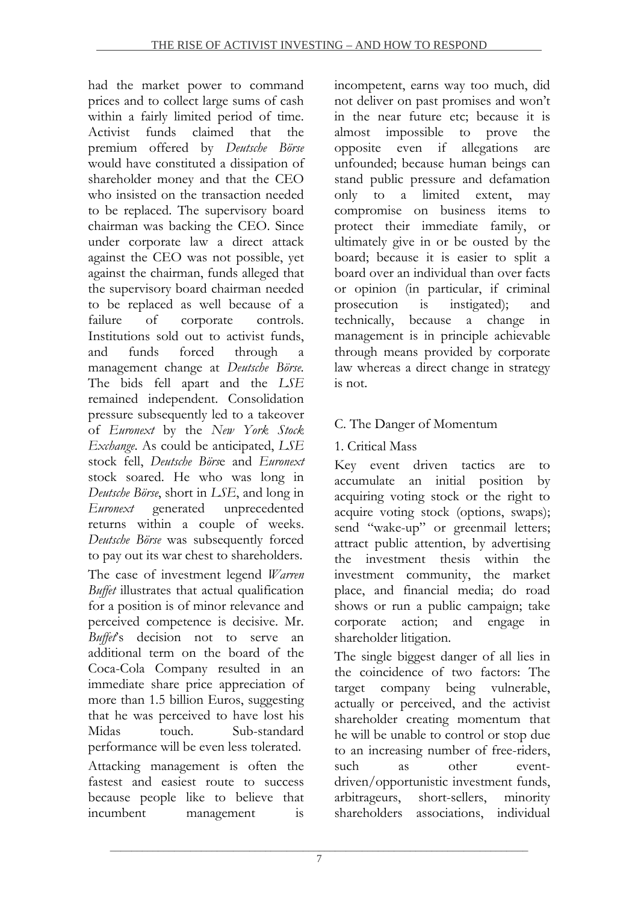had the market power to command prices and to collect large sums of cash within a fairly limited period of time. Activist funds claimed that the premium offered by *Deutsche Börse*  would have constituted a dissipation of shareholder money and that the CEO who insisted on the transaction needed to be replaced. The supervisory board chairman was backing the CEO. Since under corporate law a direct attack against the CEO was not possible, yet against the chairman, funds alleged that the supervisory board chairman needed to be replaced as well because of a failure of corporate controls. Institutions sold out to activist funds, and funds forced through management change at *Deutsche Börse.*  The bids fell apart and the *LSE* remained independent. Consolidation pressure subsequently led to a takeover of *Euronext* by the *New York Stock Exchange*. As could be anticipated, *LSE* stock fell, *Deutsche Börs*e and *Euronext* stock soared. He who was long in *Deutsche Börse*, short in *LSE*, and long in *Euronext* generated unprecedented returns within a couple of weeks. *Deutsche Börse* was subsequently forced to pay out its war chest to shareholders.

The case of investment legend *Warren Buffet* illustrates that actual qualification for a position is of minor relevance and perceived competence is decisive. Mr. *Buffet*'s decision not to serve an additional term on the board of the Coca-Cola Company resulted in an immediate share price appreciation of more than 1.5 billion Euros, suggesting that he was perceived to have lost his Midas touch. Sub-standard performance will be even less tolerated. Attacking management is often the fastest and easiest route to success because people like to believe that incumbent management is incompetent, earns way too much, did not deliver on past promises and won't in the near future etc; because it is almost impossible to prove the opposite even if allegations are unfounded; because human beings can stand public pressure and defamation only to a limited extent, may compromise on business items to protect their immediate family, or ultimately give in or be ousted by the board; because it is easier to split a board over an individual than over facts or opinion (in particular, if criminal prosecution is instigated); and technically, because a change in management is in principle achievable through means provided by corporate law whereas a direct change in strategy is not.

# C. The Danger of Momentum

1. Critical Mass

Key event driven tactics are to accumulate an initial position by acquiring voting stock or the right to acquire voting stock (options, swaps); send "wake-up" or greenmail letters; attract public attention, by advertising the investment thesis within the investment community, the market place, and financial media; do road shows or run a public campaign; take corporate action; and engage in shareholder litigation.

The single biggest danger of all lies in the coincidence of two factors: The target company being vulnerable, actually or perceived, and the activist shareholder creating momentum that he will be unable to control or stop due to an increasing number of free-riders, such as other eventdriven/opportunistic investment funds, arbitrageurs, short-sellers, minority shareholders associations, individual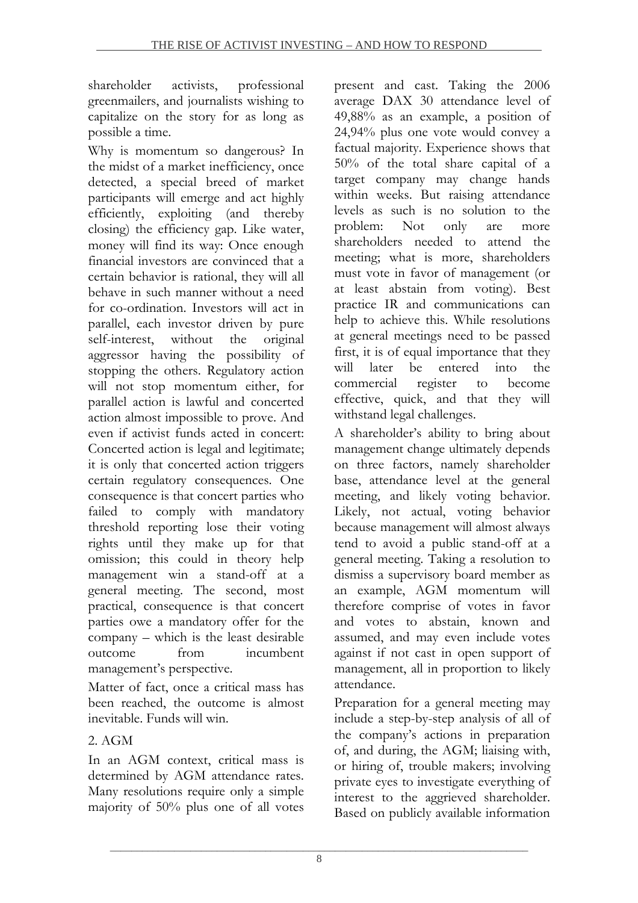shareholder activists, professional greenmailers, and journalists wishing to capitalize on the story for as long as possible a time.

Why is momentum so dangerous? In the midst of a market inefficiency, once detected, a special breed of market participants will emerge and act highly efficiently, exploiting (and thereby closing) the efficiency gap. Like water, money will find its way: Once enough financial investors are convinced that a certain behavior is rational, they will all behave in such manner without a need for co-ordination. Investors will act in parallel, each investor driven by pure self-interest, without the original aggressor having the possibility of stopping the others. Regulatory action will not stop momentum either, for parallel action is lawful and concerted action almost impossible to prove. And even if activist funds acted in concert: Concerted action is legal and legitimate; it is only that concerted action triggers certain regulatory consequences. One consequence is that concert parties who failed to comply with mandatory threshold reporting lose their voting rights until they make up for that omission; this could in theory help management win a stand-off at a general meeting. The second, most practical, consequence is that concert parties owe a mandatory offer for the company – which is the least desirable outcome from incumbent management's perspective.

Matter of fact, once a critical mass has been reached, the outcome is almost inevitable. Funds will win.

## 2. AGM

In an AGM context, critical mass is determined by AGM attendance rates. Many resolutions require only a simple majority of 50% plus one of all votes present and cast. Taking the 2006 average DAX 30 attendance level of 49,88% as an example, a position of 24,94% plus one vote would convey a factual majority. Experience shows that 50% of the total share capital of a target company may change hands within weeks. But raising attendance levels as such is no solution to the problem: Not only are more shareholders needed to attend the meeting; what is more, shareholders must vote in favor of management (or at least abstain from voting). Best practice IR and communications can help to achieve this. While resolutions at general meetings need to be passed first, it is of equal importance that they will later be entered into the commercial register to become effective, quick, and that they will withstand legal challenges.

A shareholder's ability to bring about management change ultimately depends on three factors, namely shareholder base, attendance level at the general meeting, and likely voting behavior. Likely, not actual, voting behavior because management will almost always tend to avoid a public stand-off at a general meeting. Taking a resolution to dismiss a supervisory board member as an example, AGM momentum will therefore comprise of votes in favor and votes to abstain, known and assumed, and may even include votes against if not cast in open support of management, all in proportion to likely attendance.

Preparation for a general meeting may include a step-by-step analysis of all of the company's actions in preparation of, and during, the AGM; liaising with, or hiring of, trouble makers; involving private eyes to investigate everything of interest to the aggrieved shareholder. Based on publicly available information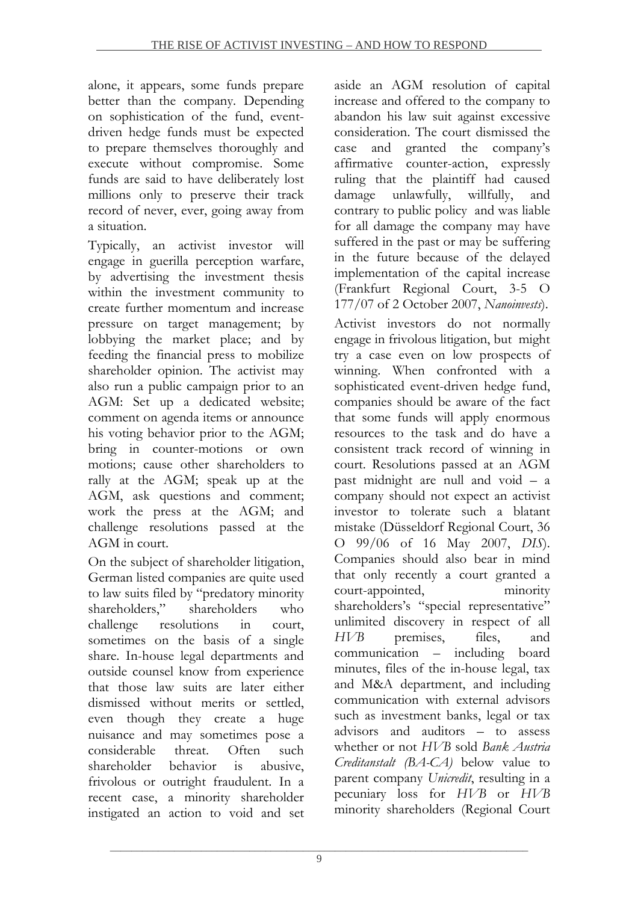alone, it appears, some funds prepare better than the company. Depending on sophistication of the fund, eventdriven hedge funds must be expected to prepare themselves thoroughly and execute without compromise. Some funds are said to have deliberately lost millions only to preserve their track record of never, ever, going away from a situation.

Typically, an activist investor will engage in guerilla perception warfare, by advertising the investment thesis within the investment community to create further momentum and increase pressure on target management; by lobbying the market place; and by feeding the financial press to mobilize shareholder opinion. The activist may also run a public campaign prior to an AGM: Set up a dedicated website; comment on agenda items or announce his voting behavior prior to the AGM; bring in counter-motions or own motions; cause other shareholders to rally at the AGM; speak up at the AGM, ask questions and comment; work the press at the AGM; and challenge resolutions passed at the AGM in court.

On the subject of shareholder litigation, German listed companies are quite used to law suits filed by "predatory minority shareholders," shareholders who challenge resolutions in court, sometimes on the basis of a single share. In-house legal departments and outside counsel know from experience that those law suits are later either dismissed without merits or settled, even though they create a huge nuisance and may sometimes pose a considerable threat. Often such shareholder behavior is abusive, frivolous or outright fraudulent. In a recent case, a minority shareholder instigated an action to void and set aside an AGM resolution of capital increase and offered to the company to abandon his law suit against excessive consideration. The court dismissed the case and granted the company's affirmative counter-action, expressly ruling that the plaintiff had caused damage unlawfully, willfully, and contrary to public policy and was liable for all damage the company may have suffered in the past or may be suffering in the future because of the delayed implementation of the capital increase (Frankfurt Regional Court, 3-5 O 177/07 of 2 October 2007, *Nanoinvests*). Activist investors do not normally engage in frivolous litigation, but might try a case even on low prospects of winning. When confronted with a sophisticated event-driven hedge fund, companies should be aware of the fact that some funds will apply enormous resources to the task and do have a consistent track record of winning in court. Resolutions passed at an AGM past midnight are null and void – a company should not expect an activist investor to tolerate such a blatant mistake (Düsseldorf Regional Court, 36 O 99/06 of 16 May 2007, *DIS*). Companies should also bear in mind that only recently a court granted a court-appointed, minority shareholders's "special representative" unlimited discovery in respect of all *HVB* premises, files, and communication – including board minutes, files of the in-house legal, tax and M&A department, and including communication with external advisors such as investment banks, legal or tax advisors and auditors – to assess whether or not *HVB* sold *Bank Austria Creditanstalt (BA-CA)* below value to parent company *Unicredit*, resulting in a pecuniary loss for *HVB* or *HVB* minority shareholders (Regional Court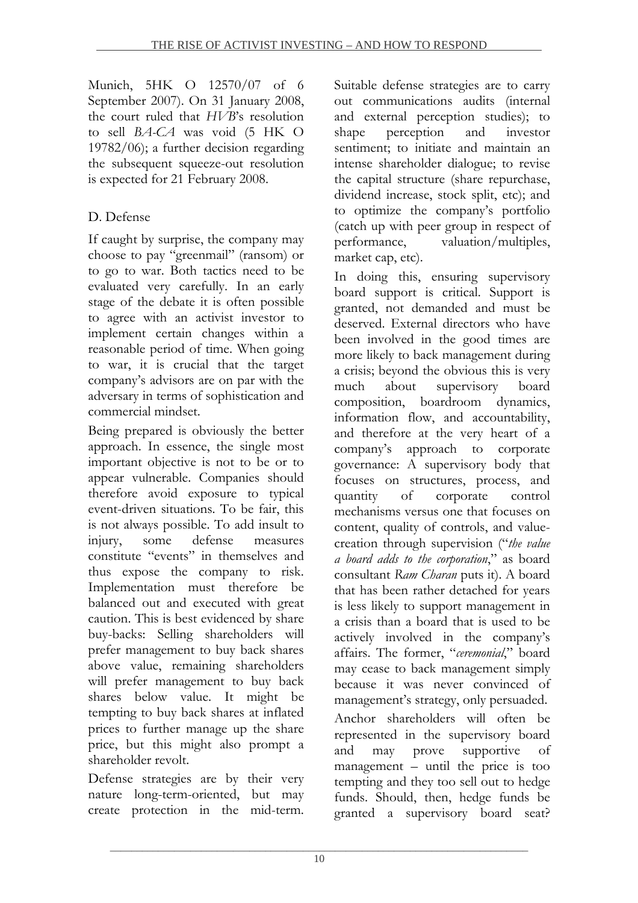Munich, 5HK O 12570/07 of 6 September 2007). On 31 January 2008, the court ruled that *HVB*'s resolution to sell *BA-CA* was void (5 HK O 19782/06); a further decision regarding the subsequent squeeze-out resolution is expected for 21 February 2008.

### D. Defense

If caught by surprise, the company may choose to pay "greenmail" (ransom) or to go to war. Both tactics need to be evaluated very carefully. In an early stage of the debate it is often possible to agree with an activist investor to implement certain changes within a reasonable period of time. When going to war, it is crucial that the target company's advisors are on par with the adversary in terms of sophistication and commercial mindset.

Being prepared is obviously the better approach. In essence, the single most important objective is not to be or to appear vulnerable. Companies should therefore avoid exposure to typical event-driven situations. To be fair, this is not always possible. To add insult to injury, some defense measures constitute "events" in themselves and thus expose the company to risk. Implementation must therefore be balanced out and executed with great caution. This is best evidenced by share buy-backs: Selling shareholders will prefer management to buy back shares above value, remaining shareholders will prefer management to buy back shares below value. It might be tempting to buy back shares at inflated prices to further manage up the share price, but this might also prompt a shareholder revolt.

Defense strategies are by their very nature long-term-oriented, but may create protection in the mid-term. Suitable defense strategies are to carry out communications audits (internal and external perception studies); to shape perception and investor sentiment; to initiate and maintain an intense shareholder dialogue; to revise the capital structure (share repurchase, dividend increase, stock split, etc); and to optimize the company's portfolio (catch up with peer group in respect of<br>performance, valuation/multiples,  $v$ aluation/multiples, market cap, etc).

In doing this, ensuring supervisory board support is critical. Support is granted, not demanded and must be deserved. External directors who have been involved in the good times are more likely to back management during a crisis; beyond the obvious this is very much about supervisory board composition, boardroom dynamics, information flow, and accountability, and therefore at the very heart of a company's approach to corporate governance: A supervisory body that focuses on structures, process, and quantity of corporate control mechanisms versus one that focuses on content, quality of controls, and valuecreation through supervision ("*the value a board adds to the corporation*," as board consultant *Ram Charan* puts it). A board that has been rather detached for years is less likely to support management in a crisis than a board that is used to be actively involved in the company's affairs. The former, "*ceremonial*," board may cease to back management simply because it was never convinced of management's strategy, only persuaded. Anchor shareholders will often be represented in the supervisory board and may prove supportive of management – until the price is too tempting and they too sell out to hedge funds. Should, then, hedge funds be granted a supervisory board seat?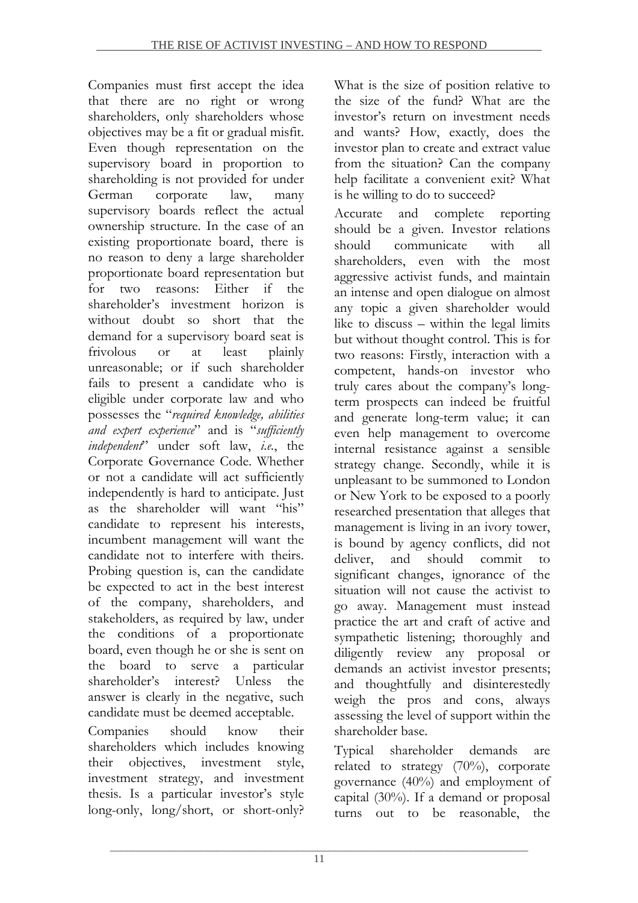Companies must first accept the idea that there are no right or wrong shareholders, only shareholders whose objectives may be a fit or gradual misfit. Even though representation on the supervisory board in proportion to shareholding is not provided for under German corporate law, many supervisory boards reflect the actual ownership structure. In the case of an existing proportionate board, there is no reason to deny a large shareholder proportionate board representation but for two reasons: Either if the shareholder's investment horizon is without doubt so short that the demand for a supervisory board seat is frivolous or at least plainly unreasonable; or if such shareholder fails to present a candidate who is eligible under corporate law and who possesses the "*required knowledge, abilities and expert experience*" and is "*sufficiently independent*" under soft law, *i.e.*, the Corporate Governance Code. Whether or not a candidate will act sufficiently independently is hard to anticipate. Just as the shareholder will want "his" candidate to represent his interests, incumbent management will want the candidate not to interfere with theirs. Probing question is, can the candidate be expected to act in the best interest of the company, shareholders, and stakeholders, as required by law, under the conditions of a proportionate board, even though he or she is sent on the board to serve a particular shareholder's interest? Unless the answer is clearly in the negative, such candidate must be deemed acceptable.

Companies should know their shareholders which includes knowing their objectives, investment style, investment strategy, and investment thesis. Is a particular investor's style long-only, long/short, or short-only?

What is the size of position relative to the size of the fund? What are the investor's return on investment needs and wants? How, exactly, does the investor plan to create and extract value from the situation? Can the company help facilitate a convenient exit? What is he willing to do to succeed?

Accurate and complete reporting should be a given. Investor relations should communicate with all shareholders, even with the most aggressive activist funds, and maintain an intense and open dialogue on almost any topic a given shareholder would like to discuss – within the legal limits but without thought control. This is for two reasons: Firstly, interaction with a competent, hands-on investor who truly cares about the company's longterm prospects can indeed be fruitful and generate long-term value; it can even help management to overcome internal resistance against a sensible strategy change. Secondly, while it is unpleasant to be summoned to London or New York to be exposed to a poorly researched presentation that alleges that management is living in an ivory tower, is bound by agency conflicts, did not deliver, and should commit to significant changes, ignorance of the situation will not cause the activist to go away. Management must instead practice the art and craft of active and sympathetic listening; thoroughly and diligently review any proposal or demands an activist investor presents; and thoughtfully and disinterestedly weigh the pros and cons, always assessing the level of support within the shareholder base.

Typical shareholder demands are related to strategy (70%), corporate governance (40%) and employment of capital (30%). If a demand or proposal turns out to be reasonable, the